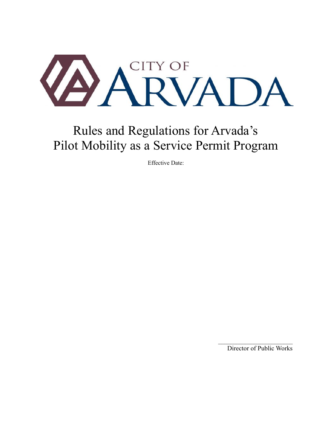

# Rules and Regulations for Arvada's Pilot Mobility as a Service Permit Program

Effective Date:

Director of Public Works

 $\frac{1}{2}$  ,  $\frac{1}{2}$  ,  $\frac{1}{2}$  ,  $\frac{1}{2}$  ,  $\frac{1}{2}$  ,  $\frac{1}{2}$  ,  $\frac{1}{2}$  ,  $\frac{1}{2}$  ,  $\frac{1}{2}$  ,  $\frac{1}{2}$  ,  $\frac{1}{2}$  ,  $\frac{1}{2}$  ,  $\frac{1}{2}$  ,  $\frac{1}{2}$  ,  $\frac{1}{2}$  ,  $\frac{1}{2}$  ,  $\frac{1}{2}$  ,  $\frac{1}{2}$  ,  $\frac{1$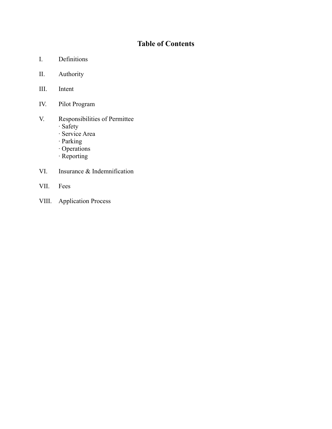## **Table of Contents**

- I. Definitions
- II. Authority
- III. Intent
- IV. Pilot Program
- V. Responsibilities of Permittee
	- ∙ Safety
	- ∙ Service Area
	- ∙ Parking
	- ∙ Operations
	- ∙ Reporting
- VI. Insurance & Indemnification
- VII. Fees
- VIII. Application Process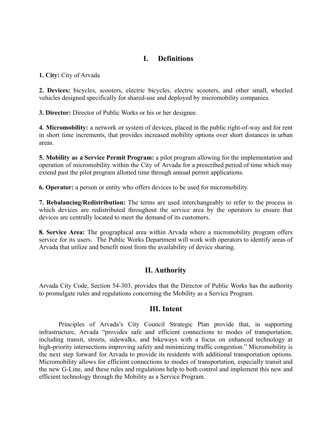#### **I. Definitions**

**1. City:** City of Arvada

**2. Devices:** bicycles, scooters, electric bicycles, electric scooters, and other small, wheeled vehicles designed specifically for shared-use and deployed by micromobility companies.

**3. Director:** Director of Public Works or his or her designee.

**4. Micromobility:** a network or system of devices, placed in the public right-of-way and for rent in short time increments, that provides increased mobility options over short distances in urban areas.

**5. Mobility as a Service Permit Program:** a pilot program allowing for the implementation and operation of micromobility within the City of Arvada for a prescribed period of time which may extend past the pilot program allotted time through annual permit applications.

**6. Operator:** a person or entity who offers devices to be used for micromobility.

**7. Rebalancing/Redistribution:** The terms are used interchangeably to refer to the process in which devices are redistributed throughout the service area by the operators to ensure that devices are centrally located to meet the demand of its customers.

**8. Service Area:** The geographical area within Arvada where a micromobility program offers service for its users. The Public Works Department will work with operators to identify areas of Arvada that utilize and benefit most from the availability of device sharing.

## **II. Authority**

Arvada City Code, Section 54-303, provides that the Director of Public Works has the authority to promulgate rules and regulations concerning the Mobility as a Service Program.

#### **III. Intent**

Principles of Arvada's City Council Strategic Plan provide that, in supporting infrastructure, Arvada "provides safe and efficient connections to modes of transportation, including transit, streets, sidewalks, and bikeways with a focus on enhanced technology at high-priority intersections improving safety and minimizing traffic congestion." Micromobility is the next step forward for Arvada to provide its residents with additional transportation options. Micromobility allows for efficient connections to modes of transportation, especially transit and the new G-Line, and these rules and regulations help to both control and implement this new and efficient technology through the Mobility as a Service Program.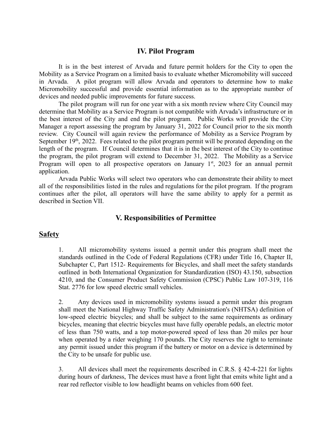#### **IV. Pilot Program**

It is in the best interest of Arvada and future permit holders for the City to open the Mobility as a Service Program on a limited basis to evaluate whether Micromobility will succeed in Arvada. A pilot program will allow Arvada and operators to determine how to make Micromobility successful and provide essential information as to the appropriate number of devices and needed public improvements for future success.

The pilot program will run for one year with a six month review where City Council may determine that Mobility as a Service Program is not compatible with Arvada's infrastructure or in the best interest of the City and end the pilot program. Public Works will provide the City Manager a report assessing the program by January 31, 2022 for Council prior to the six month review. City Council will again review the performance of Mobility as a Service Program by September  $19<sup>th</sup>$ , 2022. Fees related to the pilot program permit will be prorated depending on the length of the program. If Council determines that it is in the best interest of the City to continue the program, the pilot program will extend to December 31, 2022. The Mobility as a Service Program will open to all prospective operators on January  $1<sup>st</sup>$ , 2023 for an annual permit application.

Arvada Public Works will select two operators who can demonstrate their ability to meet all of the responsibilities listed in the rules and regulations for the pilot program. If the program continues after the pilot, all operators will have the same ability to apply for a permit as described in Section VII.

## **V. Responsibilities of Permittee**

#### **Safety**

1. All micromobility systems issued a permit under this program shall meet the standards outlined in the Code of Federal Regulations (CFR) under Title 16, Chapter II, Subchapter C, Part 1512- Requirements for Bicycles, and shall meet the safety standards outlined in both International Organization for Standardization (ISO) 43.150, subsection 4210, and the Consumer Product Safety Commission (CPSC) Public Law 107-319, 116 Stat. 2776 for low speed electric small vehicles.

2. Any devices used in micromobility systems issued a permit under this program shall meet the National Highway Traffic Safety Administration's (NHTSA) definition of low-speed electric bicycles; and shall be subject to the same requirements as ordinary bicycles, meaning that electric bicycles must have fully operable pedals, an electric motor of less than 750 watts, and a top motor-powered speed of less than 20 miles per hour when operated by a rider weighing 170 pounds. The City reserves the right to terminate any permit issued under this program if the battery or motor on a device is determined by the City to be unsafe for public use.

3. All devices shall meet the requirements described in C.R.S. § 42-4-221 for lights during hours of darkness, The devices must have a front light that emits white light and a rear red reflector visible to low headlight beams on vehicles from 600 feet.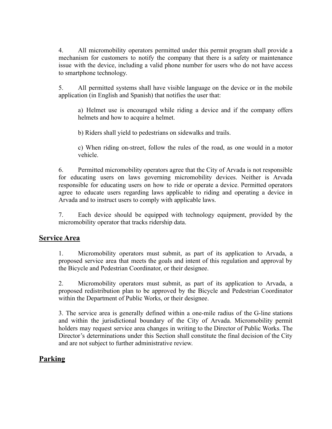4. All micromobility operators permitted under this permit program shall provide a mechanism for customers to notify the company that there is a safety or maintenance issue with the device, including a valid phone number for users who do not have access to smartphone technology.

5. All permitted systems shall have visible language on the device or in the mobile application (in English and Spanish) that notifies the user that:

a) Helmet use is encouraged while riding a device and if the company offers helmets and how to acquire a helmet.

b) Riders shall yield to pedestrians on sidewalks and trails.

c) When riding on-street, follow the rules of the road, as one would in a motor vehicle.

6. Permitted micromobility operators agree that the City of Arvada is not responsible for educating users on laws governing micromobility devices. Neither is Arvada responsible for educating users on how to ride or operate a device. Permitted operators agree to educate users regarding laws applicable to riding and operating a device in Arvada and to instruct users to comply with applicable laws.

7. Each device should be equipped with technology equipment, provided by the micromobility operator that tracks ridership data.

#### **Service Area**

1. Micromobility operators must submit, as part of its application to Arvada, a proposed service area that meets the goals and intent of this regulation and approval by the Bicycle and Pedestrian Coordinator, or their designee.

2. Micromobility operators must submit, as part of its application to Arvada, a proposed redistribution plan to be approved by the Bicycle and Pedestrian Coordinator within the Department of Public Works, or their designee.

3. The service area is generally defined within a one-mile radius of the G-line stations and within the jurisdictional boundary of the City of Arvada. Micromobility permit holders may request service area changes in writing to the Director of Public Works. The Director's determinations under this Section shall constitute the final decision of the City and are not subject to further administrative review.

## **Parking**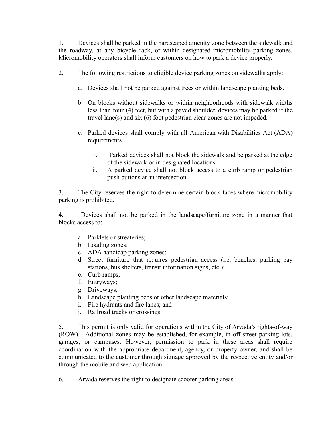1. Devices shall be parked in the hardscaped amenity zone between the sidewalk and the roadway, at any bicycle rack, or within designated micromobility parking zones. Micromobility operators shall inform customers on how to park a device properly.

- 2. The following restrictions to eligible device parking zones on sidewalks apply:
	- a. Devices shall not be parked against trees or within landscape planting beds.
	- b. On blocks without sidewalks or within neighborhoods with sidewalk widths less than four (4) feet, but with a paved shoulder, devices may be parked if the travel lane(s) and six (6) foot pedestrian clear zones are not impeded.
	- c. Parked devices shall comply with all American with Disabilities Act (ADA) requirements.
		- i. Parked devices shall not block the sidewalk and be parked at the edge of the sidewalk or in designated locations.
		- ii. A parked device shall not block access to a curb ramp or pedestrian push buttons at an intersection.

3. The City reserves the right to determine certain block faces where micromobility parking is prohibited.

4. Devices shall not be parked in the landscape/furniture zone in a manner that blocks access to:

- a. Parklets or streateries;
- b. Loading zones;
- c. ADA handicap parking zones;
- d. Street furniture that requires pedestrian access (i.e. benches, parking pay stations, bus shelters, transit information signs, etc.);
- e. Curb ramps;
- f. Entryways;
- g. Driveways;
- h. Landscape planting beds or other landscape materials;
- i. Fire hydrants and fire lanes; and
- j. Railroad tracks or crossings.

5. This permit is only valid for operations within the City of Arvada's rights-of-way (ROW). Additional zones may be established, for example, in off-street parking lots, garages, or campuses. However, permission to park in these areas shall require coordination with the appropriate department, agency, or property owner, and shall be communicated to the customer through signage approved by the respective entity and/or through the mobile and web application.

6. Arvada reserves the right to designate scooter parking areas.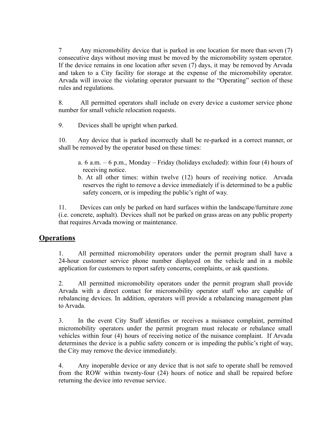7 Any micromobility device that is parked in one location for more than seven (7) consecutive days without moving must be moved by the micromobility system operator. If the device remains in one location after seven (7) days, it may be removed by Arvada and taken to a City facility for storage at the expense of the micromobility operator. Arvada will invoice the violating operator pursuant to the "Operating" section of these rules and regulations.

8. All permitted operators shall include on every device a customer service phone number for small vehicle relocation requests.

9. Devices shall be upright when parked.

10. Any device that is parked incorrectly shall be re-parked in a correct manner, or shall be removed by the operator based on these times:

- a. 6 a.m.  $-6$  p.m., Monday Friday (holidays excluded): within four (4) hours of receiving notice.
- b. At all other times: within twelve (12) hours of receiving notice. Arvada reserves the right to remove a device immediately if is determined to be a public safety concern, or is impeding the public's right of way.

11. Devices can only be parked on hard surfaces within the landscape/furniture zone (i.e. concrete, asphalt). Devices shall not be parked on grass areas on any public property that requires Arvada mowing or maintenance.

#### **Operations**

1. All permitted micromobility operators under the permit program shall have a 24-hour customer service phone number displayed on the vehicle and in a mobile application for customers to report safety concerns, complaints, or ask questions.

2. All permitted micromobility operators under the permit program shall provide Arvada with a direct contact for micromobility operator staff who are capable of rebalancing devices. In addition, operators will provide a rebalancing management plan to Arvada.

3. In the event City Staff identifies or receives a nuisance complaint, permitted micromobility operators under the permit program must relocate or rebalance small vehicles within four (4) hours of receiving notice of the nuisance complaint. If Arvada determines the device is a public safety concern or is impeding the public's right of way, the City may remove the device immediately.

4. Any inoperable device or any device that is not safe to operate shall be removed from the ROW within twenty-four (24) hours of notice and shall be repaired before returning the device into revenue service.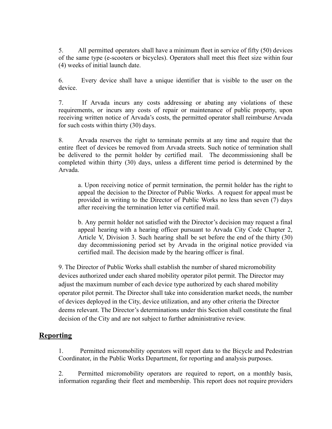5. All permitted operators shall have a minimum fleet in service of fifty (50) devices of the same type (e-scooters or bicycles). Operators shall meet this fleet size within four (4) weeks of initial launch date.

6. Every device shall have a unique identifier that is visible to the user on the device.

7. If Arvada incurs any costs addressing or abating any violations of these requirements, or incurs any costs of repair or maintenance of public property, upon receiving written notice of Arvada's costs, the permitted operator shall reimburse Arvada for such costs within thirty (30) days.

8. Arvada reserves the right to terminate permits at any time and require that the entire fleet of devices be removed from Arvada streets. Such notice of termination shall be delivered to the permit holder by certified mail. The decommissioning shall be completed within thirty (30) days, unless a different time period is determined by the Arvada.

a. Upon receiving notice of permit termination, the permit holder has the right to appeal the decision to the Director of Public Works. A request for appeal must be provided in writing to the Director of Public Works no less than seven (7) days after receiving the termination letter via certified mail.

b. Any permit holder not satisfied with the Director's decision may request a final appeal hearing with a hearing officer pursuant to Arvada City Code Chapter 2, Article V, Division 3. Such hearing shall be set before the end of the thirty (30) day decommissioning period set by Arvada in the original notice provided via certified mail. The decision made by the hearing officer is final.

9. The Director of Public Works shall establish the number of shared micromobility devices authorized under each shared mobility operator pilot permit. The Director may adjust the maximum number of each device type authorized by each shared mobility operator pilot permit. The Director shall take into consideration market needs, the number of devices deployed in the City, device utilization, and any other criteria the Director deems relevant. The Director's determinations under this Section shall constitute the final decision of the City and are not subject to further administrative review.

## **Reporting**

1. Permitted micromobility operators will report data to the Bicycle and Pedestrian Coordinator, in the Public Works Department, for reporting and analysis purposes.

2. Permitted micromobility operators are required to report, on a monthly basis, information regarding their fleet and membership. This report does not require providers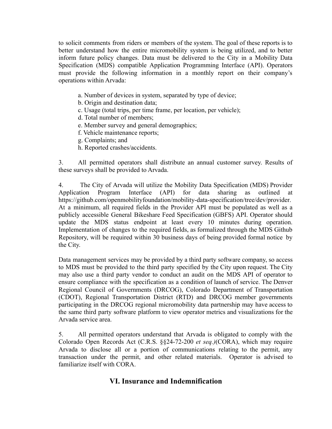to solicit comments from riders or members of the system. The goal of these reports is to better understand how the entire micromobility system is being utilized, and to better inform future policy changes. Data must be delivered to the City in a Mobility Data Specification (MDS) compatible Application Programming Interface (API). Operators must provide the following information in a monthly report on their company's operations within Arvada:

- a. Number of devices in system, separated by type of device;
- b. Origin and destination data;
- c. Usage (total trips, per time frame, per location, per vehicle);
- d. Total number of members;
- e. Member survey and general demographics;
- f. Vehicle maintenance reports;
- g. Complaints; and
- h. Reported crashes/accidents.

3. All permitted operators shall distribute an annual customer survey. Results of these surveys shall be provided to Arvada.

4. The City of Arvada will utilize the Mobility Data Specification (MDS) Provider Application Program Interface (API) for data sharing as outlined at <https://github.com/openmobilityfoundation/mobility-data-specification/tree/dev/provider>. At a minimum, all required fields in the Provider API must be populated as well as a publicly accessible General Bikeshare Feed Specification (GBFS) API. Operator should update the MDS status endpoint at least every 10 minutes during operation. Implementation of changes to the required fields, as formalized through the MDS Github Repository, will be required within 30 business days of being provided formal notice by the City.

Data management services may be provided by a third party software company, so access to MDS must be provided to the third party specified by the City upon request. The City may also use a third party vendor to conduct an audit on the MDS API of operator to ensure compliance with the specification as a condition of launch of service. The Denver Regional Council of Governments (DRCOG), Colorado Department of Transportation (CDOT), Regional Transportation District (RTD) and DRCOG member governments participating in the DRCOG regional micromobility data partnership may have access to the same third party software platform to view operator metrics and visualizations for the Arvada service area.

5. All permitted operators understand that Arvada is obligated to comply with the Colorado Open Records Act (C.R.S. §§24-72-200 *et seq.)*(CORA), which may require Arvada to disclose all or a portion of communications relating to the permit, any transaction under the permit, and other related materials. Operator is advised to familiarize itself with CORA.

#### **VI. Insurance and Indemnification**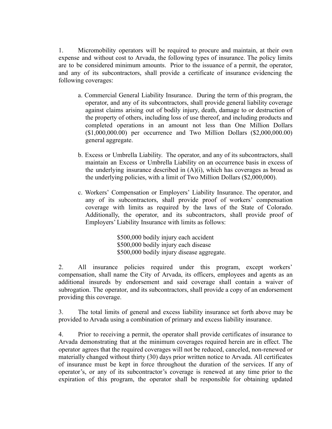1. Micromobility operators will be required to procure and maintain, at their own expense and without cost to Arvada, the following types of insurance. The policy limits are to be considered minimum amounts. Prior to the issuance of a permit, the operator, and any of its subcontractors, shall provide a certificate of insurance evidencing the following coverages:

- a. Commercial General Liability Insurance. During the term of this program, the operator, and any of its subcontractors, shall provide general liability coverage against claims arising out of bodily injury, death, damage to or destruction of the property of others, including loss of use thereof, and including products and completed operations in an amount not less than One Million Dollars (\$1,000,000.00) per occurrence and Two Million Dollars (\$2,000,000.00) general aggregate.
- b. Excess or Umbrella Liability. The operator, and any of its subcontractors, shall maintain an Excess or Umbrella Liability on an occurrence basis in excess of the underlying insurance described in  $(A)(i)$ , which has coverages as broad as the underlying policies, with a limit of Two Million Dollars (\$2,000,000).
- c. Workers' Compensation or Employers' Liability Insurance. The operator, and any of its subcontractors, shall provide proof of workers' compensation coverage with limits as required by the laws of the State of Colorado. Additionally, the operator, and its subcontractors, shall provide proof of Employers' Liability Insurance with limits as follows:

\$500,000 bodily injury each accident \$500,000 bodily injury each disease \$500,000 bodily injury disease aggregate.

2. All insurance policies required under this program, except workers' compensation, shall name the City of Arvada, its officers, employees and agents as an additional insureds by endorsement and said coverage shall contain a waiver of subrogation. The operator, and its subcontractors, shall provide a copy of an endorsement providing this coverage.

3. The total limits of general and excess liability insurance set forth above may be provided to Arvada using a combination of primary and excess liability insurance.

4. Prior to receiving a permit, the operator shall provide certificates of insurance to Arvada demonstrating that at the minimum coverages required herein are in effect. The operator agrees that the required coverages will not be reduced, canceled, non-renewed or materially changed without thirty (30) days prior written notice to Arvada. All certificates of insurance must be kept in force throughout the duration of the services. If any of operator's, or any of its subcontractor's coverage is renewed at any time prior to the expiration of this program, the operator shall be responsible for obtaining updated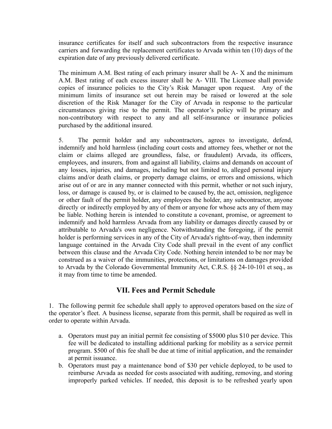insurance certificates for itself and such subcontractors from the respective insurance carriers and forwarding the replacement certificates to Arvada within ten (10) days of the expiration date of any previously delivered certificate.

The minimum A.M. Best rating of each primary insurer shall be A- X and the minimum A.M. Best rating of each excess insurer shall be A- VIII. The Licensee shall provide copies of insurance policies to the City's Risk Manager upon request. Any of the minimum limits of insurance set out herein may be raised or lowered at the sole discretion of the Risk Manager for the City of Arvada in response to the particular circumstances giving rise to the permit. The operator's policy will be primary and non-contributory with respect to any and all self-insurance or insurance policies purchased by the additional insured.

5. The permit holder and any subcontractors, agrees to investigate, defend, indemnify and hold harmless (including court costs and attorney fees, whether or not the claim or claims alleged are groundless, false, or fraudulent) Arvada, its officers, employees, and insurers, from and against all liability, claims and demands on account of any losses, injuries, and damages, including but not limited to, alleged personal injury claims and/or death claims, or property damage claims, or errors and omissions, which arise out of or are in any manner connected with this permit, whether or not such injury, loss, or damage is caused by, or is claimed to be caused by, the act, omission, negligence or other fault of the permit holder, any employees the holder, any subcontractor, anyone directly or indirectly employed by any of them or anyone for whose acts any of them may be liable. Nothing herein is intended to constitute a covenant, promise, or agreement to indemnify and hold harmless Arvada from any liability or damages directly caused by or attributable to Arvada's own negligence. Notwithstanding the foregoing, if the permit holder is performing services in any of the City of Arvada's rights-of-way, then indemnity language contained in the Arvada City Code shall prevail in the event of any conflict between this clause and the Arvada City Code. Nothing herein intended to be nor may be construed as a waiver of the immunities, protections, or limitations on damages provided to Arvada by the Colorado Governmental Immunity Act, C.R.S. §§ 24-10-101 et seq., as it may from time to time be amended.

## **VII. Fees and Permit Schedule**

1. The following permit fee schedule shall apply to approved operators based on the size of the operator's fleet. A business license, separate from this permit, shall be required as well in order to operate within Arvada.

- a. Operators must pay an initial permit fee consisting of \$5000 plus \$10 per device. This fee will be dedicated to installing additional parking for mobility as a service permit program. \$500 of this fee shall be due at time of initial application, and the remainder at permit issuance.
- b. Operators must pay a maintenance bond of \$30 per vehicle deployed, to be used to reimburse Arvada as needed for costs associated with auditing, removing, and storing improperly parked vehicles. If needed, this deposit is to be refreshed yearly upon